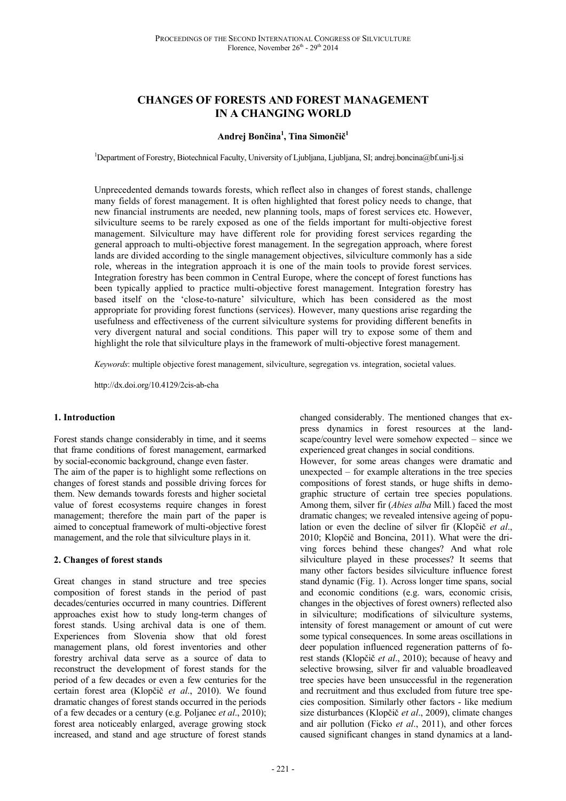# **CHANGES OF FORESTS AND FOREST MANAGEMENT IN A CHANGING WORLD**

## **Andrej Bončina<sup>1</sup> , Tina Simončič<sup>1</sup>**

<sup>1</sup>Department of Forestry, Biotechnical Faculty, University of Ljubljana, Ljubljana, SI; andrej.boncina@bf.uni-lj.si

Unprecedented demands towards forests, which reflect also in changes of forest stands, challenge many fields of forest management. It is often highlighted that forest policy needs to change, that new financial instruments are needed, new planning tools, maps of forest services etc. However, silviculture seems to be rarely exposed as one of the fields important for multi-objective forest management. Silviculture may have different role for providing forest services regarding the general approach to multi-objective forest management. In the segregation approach, where forest lands are divided according to the single management objectives, silviculture commonly has a side role, whereas in the integration approach it is one of the main tools to provide forest services. Integration forestry has been common in Central Europe, where the concept of forest functions has been typically applied to practice multi-objective forest management. Integration forestry has based itself on the 'close-to-nature' silviculture, which has been considered as the most appropriate for providing forest functions (services). However, many questions arise regarding the usefulness and effectiveness of the current silviculture systems for providing different benefits in very divergent natural and social conditions. This paper will try to expose some of them and highlight the role that silviculture plays in the framework of multi-objective forest management.

*Keywords*: multiple objective forest management, silviculture, segregation vs. integration, societal values.

http://dx.doi.org/10.4129/2cis-ab-cha

### **1. Introduction**

Forest stands change considerably in time, and it seems that frame conditions of forest management, earmarked by social-economic background, change even faster.

The aim of the paper is to highlight some reflections on changes of forest stands and possible driving forces for them. New demands towards forests and higher societal value of forest ecosystems require changes in forest management; therefore the main part of the paper is aimed to conceptual framework of multi-objective forest management, and the role that silviculture plays in it.

### **2. Changes of forest stands**

Great changes in stand structure and tree species composition of forest stands in the period of past decades/centuries occurred in many countries. Different approaches exist how to study long-term changes of forest stands. Using archival data is one of them. Experiences from Slovenia show that old forest management plans, old forest inventories and other forestry archival data serve as a source of data to reconstruct the development of forest stands for the period of a few decades or even a few centuries for the certain forest area (Klopčič *et al*., 2010). We found dramatic changes of forest stands occurred in the periods of a few decades or a century (e.g. Poljanec *et al*., 2010); forest area noticeably enlarged, average growing stock increased, and stand and age structure of forest stands

changed considerably. The mentioned changes that express dynamics in forest resources at the landscape/country level were somehow expected – since we experienced great changes in social conditions.

However, for some areas changes were dramatic and unexpected – for example alterations in the tree species compositions of forest stands, or huge shifts in demographic structure of certain tree species populations. Among them, silver fir (*Abies alba* Mill*.*) faced the most dramatic changes; we revealed intensive ageing of population or even the decline of silver fir (Klopčič *et al*., 2010; Klopčič and Boncina, 2011). What were the driving forces behind these changes? And what role silviculture played in these processes? It seems that many other factors besides silviculture influence forest stand dynamic (Fig. 1). Across longer time spans, social and economic conditions (e.g. wars, economic crisis, changes in the objectives of forest owners) reflected also in silviculture; modifications of silviculture systems, intensity of forest management or amount of cut were some typical consequences. In some areas oscillations in deer population influenced regeneration patterns of forest stands (Klopčič *et al*., 2010); because of heavy and selective browsing, silver fir and valuable broadleaved tree species have been unsuccessful in the regeneration and recruitment and thus excluded from future tree species composition. Similarly other factors - like medium size disturbances (Klopčič *et al*., 2009), climate changes and air pollution (Ficko *et al*., 2011), and other forces caused significant changes in stand dynamics at a land-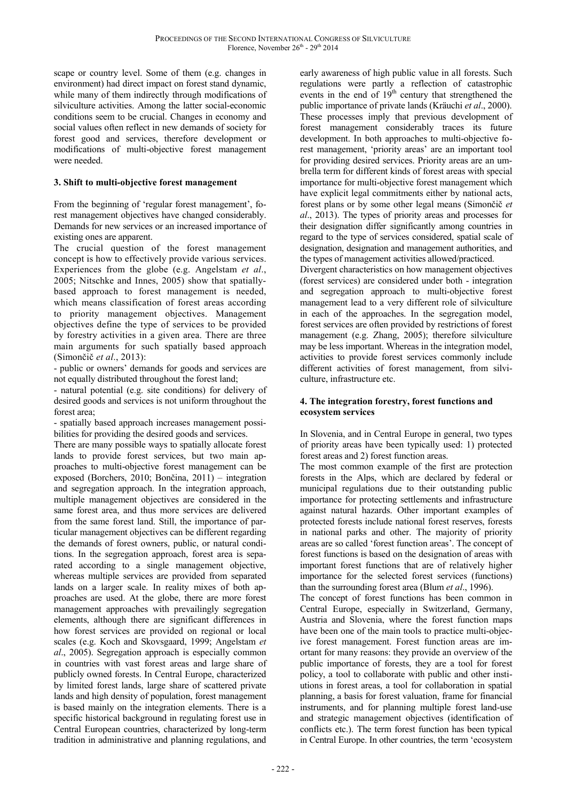scape or country level. Some of them (e.g. changes in environment) had direct impact on forest stand dynamic, while many of them indirectly through modifications of silviculture activities. Among the latter social-economic conditions seem to be crucial. Changes in economy and social values often reflect in new demands of society for forest good and services, therefore development or modifications of multi-objective forest management were needed.

# **3. Shift to multi-objective forest management**

From the beginning of 'regular forest management', forest management objectives have changed considerably. Demands for new services or an increased importance of existing ones are apparent.

The crucial question of the forest management concept is how to effectively provide various services. Experiences from the globe (e.g. Angelstam *et al*., 2005; Nitschke and Innes, 2005) show that spatiallybased approach to forest management is needed, which means classification of forest areas according to priority management objectives. Management objectives define the type of services to be provided by forestry activities in a given area. There are three main arguments for such spatially based approach (Simončič *et al*., 2013):

- public or owners' demands for goods and services are not equally distributed throughout the forest land;

- natural potential (e.g. site conditions) for delivery of desired goods and services is not uniform throughout the forest area;

- spatially based approach increases management possibilities for providing the desired goods and services.

There are many possible ways to spatially allocate forest lands to provide forest services, but two main approaches to multi-objective forest management can be exposed (Borchers, 2010; Bončina, 2011) – integration and segregation approach. In the integration approach, multiple management objectives are considered in the same forest area, and thus more services are delivered from the same forest land. Still, the importance of particular management objectives can be different regarding the demands of forest owners, public, or natural conditions. In the segregation approach, forest area is separated according to a single management objective, whereas multiple services are provided from separated lands on a larger scale. In reality mixes of both approaches are used. At the globe, there are more forest management approaches with prevailingly segregation elements, although there are significant differences in how forest services are provided on regional or local scales (e.g. Koch and Skovsgaard, 1999; Angelstam *et al*., 2005). Segregation approach is especially common in countries with vast forest areas and large share of publicly owned forests. In Central Europe, characterized by limited forest lands, large share of scattered private lands and high density of population, forest management is based mainly on the integration elements. There is a specific historical background in regulating forest use in Central European countries, characterized by long-term tradition in administrative and planning regulations, and

early awareness of high public value in all forests. Such regulations were partly a reflection of catastrophic events in the end of  $19<sup>th</sup>$  century that strengthened the public importance of private lands (Kräuchi *et al*., 2000). These processes imply that previous development of forest management considerably traces its future development. In both approaches to multi-objective forest management, 'priority areas' are an important tool for providing desired services. Priority areas are an umbrella term for different kinds of forest areas with special importance for multi-objective forest management which have explicit legal commitments either by national acts, forest plans or by some other legal means (Simončič *et al*., 2013). The types of priority areas and processes for their designation differ significantly among countries in regard to the type of services considered, spatial scale of designation, designation and management authorities, and the types of management activities allowed/practiced.

Divergent characteristics on how management objectives (forest services) are considered under both - integration and segregation approach to multi-objective forest management lead to a very different role of silviculture in each of the approaches. In the segregation model, forest services are often provided by restrictions of forest management (e.g. Zhang, 2005); therefore silviculture may be less important. Whereas in the integration model, activities to provide forest services commonly include different activities of forest management, from silviculture, infrastructure etc.

### **4. The integration forestry, forest functions and ecosystem services**

In Slovenia, and in Central Europe in general, two types of priority areas have been typically used: 1) protected forest areas and 2) forest function areas.

The most common example of the first are protection forests in the Alps, which are declared by federal or municipal regulations due to their outstanding public importance for protecting settlements and infrastructure against natural hazards. Other important examples of protected forests include national forest reserves, forests in national parks and other. The majority of priority areas are so called 'forest function areas'. The concept of forest functions is based on the designation of areas with important forest functions that are of relatively higher importance for the selected forest services (functions) than the surrounding forest area (Blum *et al*., 1996).

The concept of forest functions has been common in Central Europe, especially in Switzerland, Germany, Austria and Slovenia, where the forest function maps have been one of the main tools to practice multi-objecive forest management. Forest function areas are imortant for many reasons: they provide an overview of the public importance of forests, they are a tool for forest policy, a tool to collaborate with public and other instiutions in forest areas, a tool for collaboration in spatial planning, a basis for forest valuation, frame for financial instruments, and for planning multiple forest land-use and strategic management objectives (identification of conflicts etc.). The term forest function has been typical in Central Europe. In other countries, the term 'ecosystem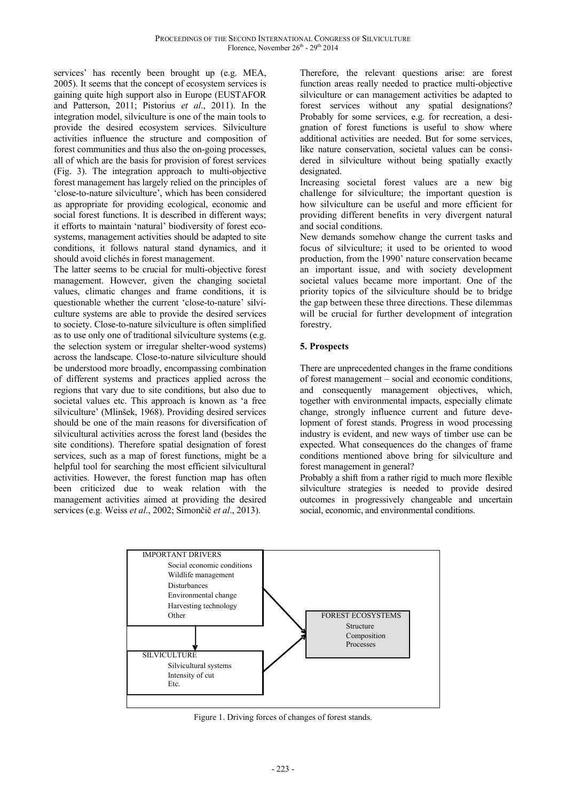services' has recently been brought up (e.g. MEA, 2005). It seems that the concept of ecosystem services is gaining quite high support also in Europe (EUSTAFOR and Patterson, 2011; Pistorius *et al*., 2011). In the integration model, silviculture is one of the main tools to provide the desired ecosystem services. Silviculture activities influence the structure and composition of forest communities and thus also the on-going processes, all of which are the basis for provision of forest services (Fig. 3). The integration approach to multi-objective forest management has largely relied on the principles of 'close-to-nature silviculture', which has been considered as appropriate for providing ecological, economic and social forest functions. It is described in different ways; it efforts to maintain 'natural' biodiversity of forest ecosystems, management activities should be adapted to site conditions, it follows natural stand dynamics, and it should avoid clichés in forest management.

The latter seems to be crucial for multi-objective forest management. However, given the changing societal values, climatic changes and frame conditions, it is questionable whether the current 'close-to-nature' silviculture systems are able to provide the desired services to society. Close-to-nature silviculture is often simplified as to use only one of traditional silviculture systems (e.g. the selection system or irregular shelter-wood systems) across the landscape. Close-to-nature silviculture should be understood more broadly, encompassing combination of different systems and practices applied across the regions that vary due to site conditions, but also due to societal values etc. This approach is known as 'a free silviculture' (Mlinšek, 1968). Providing desired services should be one of the main reasons for diversification of silvicultural activities across the forest land (besides the site conditions). Therefore spatial designation of forest services, such as a map of forest functions, might be a helpful tool for searching the most efficient silvicultural activities. However, the forest function map has often been criticized due to weak relation with the management activities aimed at providing the desired services (e.g. Weiss *et al*., 2002; Simončič *et al*., 2013).

Therefore, the relevant questions arise: are forest function areas really needed to practice multi-objective silviculture or can management activities be adapted to forest services without any spatial designations? Probably for some services, e.g. for recreation, a designation of forest functions is useful to show where additional activities are needed. But for some services, like nature conservation, societal values can be considered in silviculture without being spatially exactly designated.

Increasing societal forest values are a new big challenge for silviculture; the important question is how silviculture can be useful and more efficient for providing different benefits in very divergent natural and social conditions.

New demands somehow change the current tasks and focus of silviculture; it used to be oriented to wood production, from the 1990' nature conservation became an important issue, and with society development societal values became more important. One of the priority topics of the silviculture should be to bridge the gap between these three directions. These dilemmas will be crucial for further development of integration forestry.

# **5. Prospects**

There are unprecedented changes in the frame conditions of forest management – social and economic conditions, and consequently management objectives, which, together with environmental impacts, especially climate change, strongly influence current and future development of forest stands. Progress in wood processing industry is evident, and new ways of timber use can be expected. What consequences do the changes of frame conditions mentioned above bring for silviculture and forest management in general?

Probably a shift from a rather rigid to much more flexible silviculture strategies is needed to provide desired outcomes in progressively changeable and uncertain social, economic, and environmental conditions.



Figure 1. Driving forces of changes of forest stands.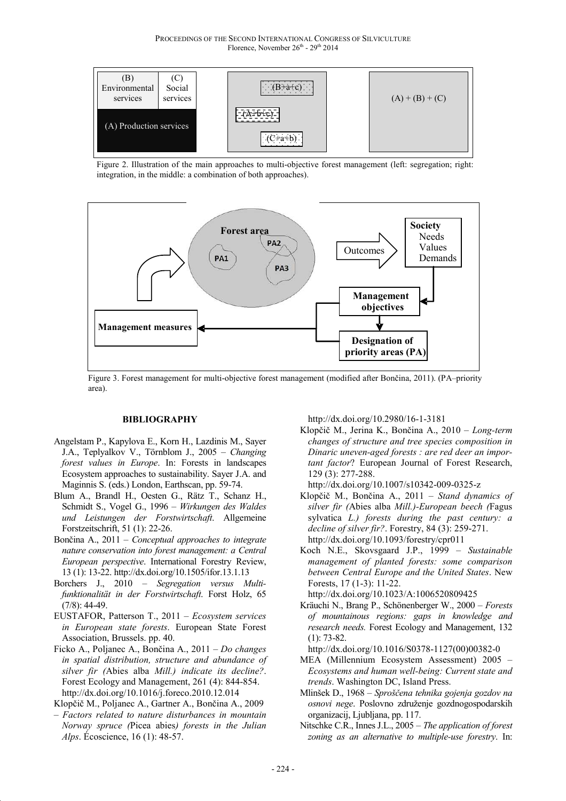

Figure 2. Illustration of the main approaches to multi-objective forest management (left: segregation; right: integration, in the middle: a combination of both approaches).



Figure 3. Forest management for multi-objective forest management (modified after Bončina, 2011). (PA–priority area).

#### **BIBLIOGRAPHY**

- Angelstam P., Kapylova E., Korn H., Lazdinis M., Sayer J.A., Teplyalkov V., Törnblom J., 2005 – *Changing forest values in Europe*. In: Forests in landscapes Ecosystem approaches to sustainability. Sayer J.A. and Maginnis S. (eds.) London, Earthscan, pp. 59-74.
- Blum A., Brandl H., Oesten G., Rätz T., Schanz H., Schmidt S., Vogel G., 1996 – *Wirkungen des Waldes und Leistungen der Forstwirtschaft*. Allgemeine Forstzeitschrift, 51 (1): 22-26.
- Bončina A., 2011 *Conceptual approaches to integrate nature conservation into forest management: a Central European perspective*. International Forestry Review, 13 (1): 13-22. http://dx.doi.org/10.1505/ifor.13.1.13
- Borchers J., 2010 *Segregation versus Multifunktionalität in der Forstwirtschaft*. Forst Holz, 65 (7/8): 44-49.
- EUSTAFOR, Patterson T., 2011 *Ecosystem services in European state forests*. European State Forest Association, Brussels. pp. 40.
- Ficko A., Poljanec A., Bončina A., 2011 *Do changes in spatial distribution, structure and abundance of silver fir (*Abies alba *Mill.) indicate its decline?*. Forest Ecology and Management, 261 (4): 844-854. http://dx.doi.org/10.1016/j.foreco.2010.12.014

Klopčič M., Poljanec A., Gartner A., Bončina A., 2009

– *Factors related to nature disturbances in mountain Norway spruce (*Picea abies*) forests in the Julian Alps*. Écoscience, 16 (1): 48-57.

http://dx.doi.org/10.2980/16-1-3181

Klopčič M., Jerina K., Bončina A., 2010 – *Long-term changes of structure and tree species composition in Dinaric uneven-aged forests : are red deer an important factor*? European Journal of Forest Research, 129 (3): 277-288.

http://dx.doi.org/10.1007/s10342-009-0325-z

- Klopčič M., Bončina A., 2011 *Stand dynamics of silver fir (*Abies alba *Mill.)-European beech (*Fagus sylvatica *L.) forests during the past century: a decline of silver fir?*. Forestry, 84 (3): 259-271. http://dx.doi.org/10.1093/forestry/cpr011
- Koch N.E., Skovsgaard J.P., 1999 *Sustainable management of planted forests: some comparison between Central Europe and the United States*. New Forests, 17 (1-3): 11-22.

http://dx.doi.org/10.1023/A:1006520809425

Kräuchi N., Brang P., Schönenberger W., 2000 – *Forests of mountainous regions: gaps in knowledge and research needs.* Forest Ecology and Management, 132 (1): 73-82.

http://dx.doi.org/10.1016/S0378-1127(00)00382-0

- MEA (Millennium Ecosystem Assessment) 2005 *Ecosystems and human well-being: Current state and trends*. Washington DC, Island Press.
- Mlinšek D., 1968 *Sproščena tehnika gojenja gozdov na osnovi nege*. Poslovno združenje gozdnogospodarskih organizacij, Ljubljana, pp. 117.
- Nitschke C.R., Innes J.L., 2005 *The application of forest zoning as an alternative to multiple-use forestry*. In: